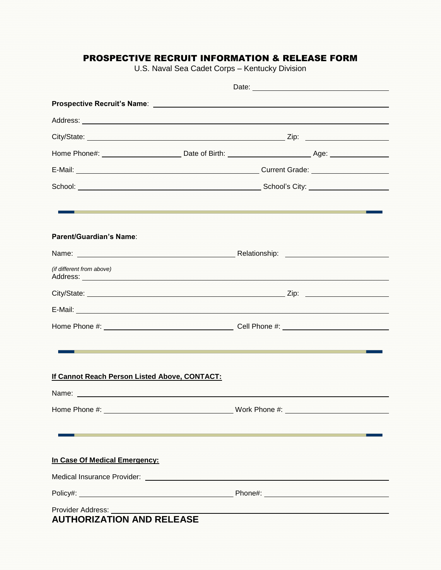## PROSPECTIVE RECRUIT INFORMATION & RELEASE FORM

U.S. Naval Sea Cadet Corps – Kentucky Division

|                                                                                                                                                                                                                               | Date: <u>New York: New York: New York: New York: New York: New York: New York: New York: New York: New York: New York: New York: New York: New York: New York: New York: New York: New York: New York: New York: New York: New Y</u> |  |
|-------------------------------------------------------------------------------------------------------------------------------------------------------------------------------------------------------------------------------|--------------------------------------------------------------------------------------------------------------------------------------------------------------------------------------------------------------------------------------|--|
|                                                                                                                                                                                                                               |                                                                                                                                                                                                                                      |  |
|                                                                                                                                                                                                                               |                                                                                                                                                                                                                                      |  |
|                                                                                                                                                                                                                               |                                                                                                                                                                                                                                      |  |
|                                                                                                                                                                                                                               |                                                                                                                                                                                                                                      |  |
|                                                                                                                                                                                                                               |                                                                                                                                                                                                                                      |  |
|                                                                                                                                                                                                                               |                                                                                                                                                                                                                                      |  |
|                                                                                                                                                                                                                               |                                                                                                                                                                                                                                      |  |
|                                                                                                                                                                                                                               |                                                                                                                                                                                                                                      |  |
| Parent/Guardian's Name:                                                                                                                                                                                                       |                                                                                                                                                                                                                                      |  |
|                                                                                                                                                                                                                               |                                                                                                                                                                                                                                      |  |
| (if different from above)                                                                                                                                                                                                     |                                                                                                                                                                                                                                      |  |
|                                                                                                                                                                                                                               |                                                                                                                                                                                                                                      |  |
|                                                                                                                                                                                                                               |                                                                                                                                                                                                                                      |  |
|                                                                                                                                                                                                                               |                                                                                                                                                                                                                                      |  |
|                                                                                                                                                                                                                               |                                                                                                                                                                                                                                      |  |
|                                                                                                                                                                                                                               |                                                                                                                                                                                                                                      |  |
| If Cannot Reach Person Listed Above, CONTACT:                                                                                                                                                                                 |                                                                                                                                                                                                                                      |  |
| Name: Name: Name: Name: Name: Name: Name: Name: Name: Name: Name: Name: Name: Name: Name: Name: Name: Name: Name: Name: Name: Name: Name: Name: Name: Name: Name: Name: Name: Name: Name: Name: Name: Name: Name: Name: Name: |                                                                                                                                                                                                                                      |  |
|                                                                                                                                                                                                                               |                                                                                                                                                                                                                                      |  |
|                                                                                                                                                                                                                               |                                                                                                                                                                                                                                      |  |
|                                                                                                                                                                                                                               |                                                                                                                                                                                                                                      |  |
| In Case Of Medical Emergency:                                                                                                                                                                                                 |                                                                                                                                                                                                                                      |  |
|                                                                                                                                                                                                                               |                                                                                                                                                                                                                                      |  |
|                                                                                                                                                                                                                               |                                                                                                                                                                                                                                      |  |
| <b>Provider Address:</b><br><b>AUTHORIZATION AND RELEASE</b>                                                                                                                                                                  | <u> 1990 - Paramana and American American American American American American American American American American </u>                                                                                                               |  |